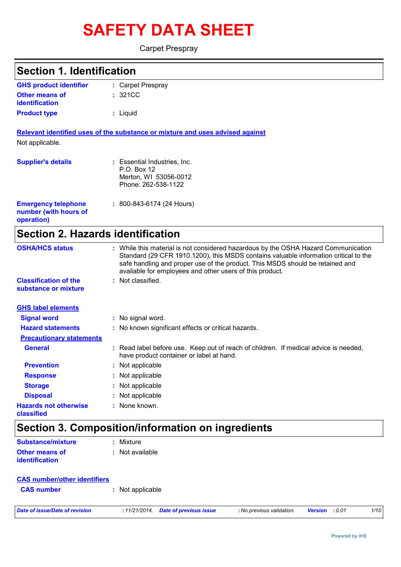# **SAFETY DATA SHEET**

Carpet Prespray

| <b>Section 1. Identification</b>                                  |                                                                                                                                                                                                                                                                                                                         |
|-------------------------------------------------------------------|-------------------------------------------------------------------------------------------------------------------------------------------------------------------------------------------------------------------------------------------------------------------------------------------------------------------------|
| <b>GHS product identifier</b>                                     | : Carpet Prespray                                                                                                                                                                                                                                                                                                       |
| <b>Other means of</b>                                             | : 321CC                                                                                                                                                                                                                                                                                                                 |
| <b>identification</b>                                             |                                                                                                                                                                                                                                                                                                                         |
| <b>Product type</b>                                               | : Liquid                                                                                                                                                                                                                                                                                                                |
|                                                                   | Relevant identified uses of the substance or mixture and uses advised against                                                                                                                                                                                                                                           |
| Not applicable.                                                   |                                                                                                                                                                                                                                                                                                                         |
| <b>Supplier's details</b>                                         | : Essential Industries, Inc.<br>P.O. Box 12<br>Merton, WI 53056-0012<br>Phone: 262-538-1122                                                                                                                                                                                                                             |
| <b>Emergency telephone</b><br>number (with hours of<br>operation) | $: 800 - 843 - 6174$ (24 Hours)                                                                                                                                                                                                                                                                                         |
| <b>Section 2. Hazards identification</b>                          |                                                                                                                                                                                                                                                                                                                         |
| <b>OSHA/HCS status</b>                                            | : While this material is not considered hazardous by the OSHA Hazard Communication<br>Standard (29 CFR 1910.1200), this MSDS contains valuable information critical to the<br>safe handling and proper use of the product. This MSDS should be retained and<br>available for employees and other users of this product. |
| <b>Classification of the</b><br>substance or mixture              | : Not classified.                                                                                                                                                                                                                                                                                                       |
| <b>GHS label elements</b>                                         |                                                                                                                                                                                                                                                                                                                         |
| <b>Signal word</b>                                                | : No signal word.                                                                                                                                                                                                                                                                                                       |
| <b>Hazard statements</b>                                          | : No known significant effects or critical hazards.                                                                                                                                                                                                                                                                     |
| <b>Precautionary statements</b>                                   |                                                                                                                                                                                                                                                                                                                         |
| <b>General</b>                                                    | : Read label before use. Keep out of reach of children. If medical advice is needed,<br>have product container or label at hand.                                                                                                                                                                                        |
| <b>Prevention</b>                                                 | : Not applicable                                                                                                                                                                                                                                                                                                        |
| <b>Response</b>                                                   | : Not applicable                                                                                                                                                                                                                                                                                                        |
| <b>Storage</b>                                                    | : Not applicable                                                                                                                                                                                                                                                                                                        |
| <b>Disposal</b>                                                   | : Not applicable                                                                                                                                                                                                                                                                                                        |
| <b>Hazards not otherwise</b><br>classified                        | : None known.                                                                                                                                                                                                                                                                                                           |
|                                                                   | Section 3. Composition/information on ingredients                                                                                                                                                                                                                                                                       |
| <b>Substance/mixture</b>                                          | : Mixture                                                                                                                                                                                                                                                                                                               |
| <b>Other means of</b><br>identification                           | : Not available                                                                                                                                                                                                                                                                                                         |

| <b>CAS number/other identifiers</b> |                  |
|-------------------------------------|------------------|
| <b>CAS number</b>                   | : Not applicable |
|                                     |                  |

*Date of issue/Date of revision* **:** *11/21/2014. Date of previous issue : No previous validation. Version : 0.01 1/10*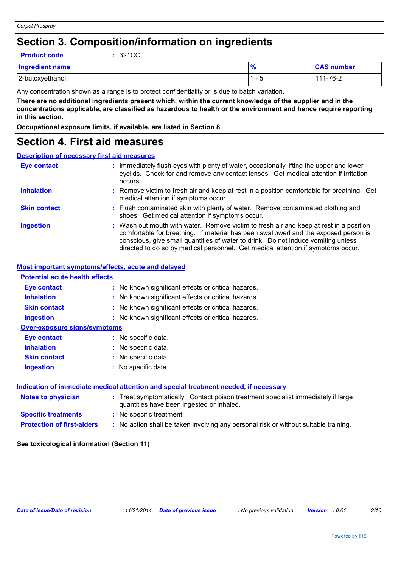### **Section 3. Composition/information on ingredients**

**Product code :** 321CC

| <b>Ingredient name</b> | <b>CAS number</b> |
|------------------------|-------------------|
| 2-butoxyethanol        | 111-76-2          |

Any concentration shown as a range is to protect confidentiality or is due to batch variation.

**There are no additional ingredients present which, within the current knowledge of the supplier and in the concentrations applicable, are classified as hazardous to health or the environment and hence require reporting in this section.**

**Occupational exposure limits, if available, are listed in Section 8.**

### **Section 4. First aid measures**

#### **Description of necessary first aid measures**

| <b>Eye contact</b>  | : Immediately flush eyes with plenty of water, occasionally lifting the upper and lower<br>eyelids. Check for and remove any contact lenses. Get medical attention if irritation<br>occurs.                                                                                                                                                            |
|---------------------|--------------------------------------------------------------------------------------------------------------------------------------------------------------------------------------------------------------------------------------------------------------------------------------------------------------------------------------------------------|
| <b>Inhalation</b>   | : Remove victim to fresh air and keep at rest in a position comfortable for breathing. Get<br>medical attention if symptoms occur.                                                                                                                                                                                                                     |
| <b>Skin contact</b> | : Flush contaminated skin with plenty of water. Remove contaminated clothing and<br>shoes. Get medical attention if symptoms occur.                                                                                                                                                                                                                    |
| <b>Ingestion</b>    | : Wash out mouth with water. Remove victim to fresh air and keep at rest in a position<br>comfortable for breathing. If material has been swallowed and the exposed person is<br>conscious, give small quantities of water to drink. Do not induce vomiting unless<br>directed to do so by medical personnel. Get medical attention if symptoms occur. |

#### **Most important symptoms/effects, acute and delayed**

| <b>Potential acute health effects</b>                                                |                                                                                                                                |  |
|--------------------------------------------------------------------------------------|--------------------------------------------------------------------------------------------------------------------------------|--|
| Eye contact                                                                          | : No known significant effects or critical hazards.                                                                            |  |
| <b>Inhalation</b>                                                                    | : No known significant effects or critical hazards.                                                                            |  |
| <b>Skin contact</b>                                                                  | : No known significant effects or critical hazards.                                                                            |  |
| <b>Ingestion</b>                                                                     | : No known significant effects or critical hazards.                                                                            |  |
| <b>Over-exposure signs/symptoms</b>                                                  |                                                                                                                                |  |
| Eye contact                                                                          | : No specific data.                                                                                                            |  |
| <b>Inhalation</b>                                                                    | : No specific data.                                                                                                            |  |
| <b>Skin contact</b>                                                                  | : No specific data.                                                                                                            |  |
| <b>Ingestion</b>                                                                     | : No specific data.                                                                                                            |  |
|                                                                                      |                                                                                                                                |  |
| Indication of immediate medical attention and special treatment needed, if necessary |                                                                                                                                |  |
| Notes to physician                                                                   | : Treat symptomatically. Contact poison treatment specialist immediately if large<br>quantities have been ingested or inhaled. |  |
| <b>Specific treatments</b>                                                           | : No specific treatment.                                                                                                       |  |
| <b>Protection of first-aiders</b>                                                    | : No action shall be taken involving any personal risk or without suitable training.                                           |  |

#### **See toxicological information (Section 11)**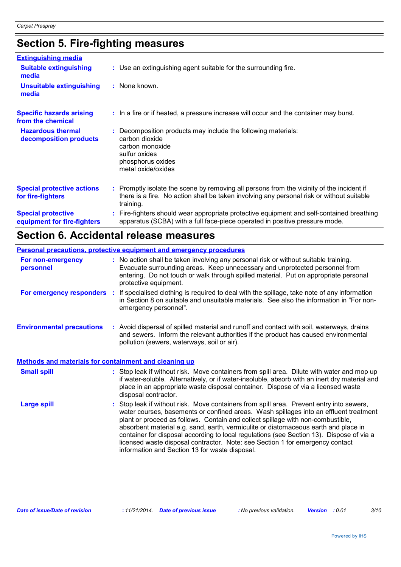## **Section 5. Fire-fighting measures**

| <b>Extinguishing media</b>                               |                                                                                                                                                                                                     |
|----------------------------------------------------------|-----------------------------------------------------------------------------------------------------------------------------------------------------------------------------------------------------|
| <b>Suitable extinguishing</b><br>media                   | : Use an extinguishing agent suitable for the surrounding fire.                                                                                                                                     |
| <b>Unsuitable extinguishing</b><br>media                 | : None known.                                                                                                                                                                                       |
| <b>Specific hazards arising</b><br>from the chemical     | : In a fire or if heated, a pressure increase will occur and the container may burst.                                                                                                               |
| <b>Hazardous thermal</b><br>decomposition products       | Decomposition products may include the following materials:<br>carbon dioxide<br>carbon monoxide<br>sulfur oxides<br>phosphorus oxides<br>metal oxide/oxides                                        |
| <b>Special protective actions</b><br>for fire-fighters   | : Promptly isolate the scene by removing all persons from the vicinity of the incident if<br>there is a fire. No action shall be taken involving any personal risk or without suitable<br>training. |
| <b>Special protective</b><br>equipment for fire-fighters | Fire-fighters should wear appropriate protective equipment and self-contained breathing<br>apparatus (SCBA) with a full face-piece operated in positive pressure mode.                              |

## **Section 6. Accidental release measures**

|                                                              | <b>Personal precautions, protective equipment and emergency procedures</b>                                                                                                                                                                                                                                                                                                                                                                                                                                                                                                               |  |  |
|--------------------------------------------------------------|------------------------------------------------------------------------------------------------------------------------------------------------------------------------------------------------------------------------------------------------------------------------------------------------------------------------------------------------------------------------------------------------------------------------------------------------------------------------------------------------------------------------------------------------------------------------------------------|--|--|
| For non-emergency<br>personnel                               | : No action shall be taken involving any personal risk or without suitable training.<br>Evacuate surrounding areas. Keep unnecessary and unprotected personnel from<br>entering. Do not touch or walk through spilled material. Put on appropriate personal<br>protective equipment.                                                                                                                                                                                                                                                                                                     |  |  |
|                                                              | For emergency responders : If specialised clothing is required to deal with the spillage, take note of any information<br>in Section 8 on suitable and unsuitable materials. See also the information in "For non-<br>emergency personnel".                                                                                                                                                                                                                                                                                                                                              |  |  |
| <b>Environmental precautions</b>                             | : Avoid dispersal of spilled material and runoff and contact with soil, waterways, drains<br>and sewers. Inform the relevant authorities if the product has caused environmental<br>pollution (sewers, waterways, soil or air).                                                                                                                                                                                                                                                                                                                                                          |  |  |
| <b>Methods and materials for containment and cleaning up</b> |                                                                                                                                                                                                                                                                                                                                                                                                                                                                                                                                                                                          |  |  |
| <b>Small spill</b>                                           | : Stop leak if without risk. Move containers from spill area. Dilute with water and mop up<br>if water-soluble. Alternatively, or if water-insoluble, absorb with an inert dry material and<br>place in an appropriate waste disposal container. Dispose of via a licensed waste<br>disposal contractor.                                                                                                                                                                                                                                                                                 |  |  |
| <b>Large spill</b>                                           | Stop leak if without risk. Move containers from spill area. Prevent entry into sewers,<br>water courses, basements or confined areas. Wash spillages into an effluent treatment<br>plant or proceed as follows. Contain and collect spillage with non-combustible,<br>absorbent material e.g. sand, earth, vermiculite or diatomaceous earth and place in<br>container for disposal according to local regulations (see Section 13). Dispose of via a<br>licensed waste disposal contractor. Note: see Section 1 for emergency contact<br>information and Section 13 for waste disposal. |  |  |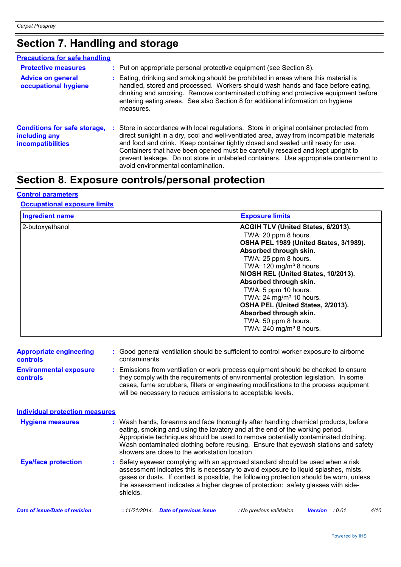## **Section 7. Handling and storage**

| <b>Precautions for safe handling</b>                                             |                                                                                                                                                                                                                                                                                                                                                                                                                                                                                              |
|----------------------------------------------------------------------------------|----------------------------------------------------------------------------------------------------------------------------------------------------------------------------------------------------------------------------------------------------------------------------------------------------------------------------------------------------------------------------------------------------------------------------------------------------------------------------------------------|
| <b>Protective measures</b>                                                       | : Put on appropriate personal protective equipment (see Section 8).                                                                                                                                                                                                                                                                                                                                                                                                                          |
| <b>Advice on general</b><br>occupational hygiene                                 | : Eating, drinking and smoking should be prohibited in areas where this material is<br>handled, stored and processed. Workers should wash hands and face before eating,<br>drinking and smoking. Remove contaminated clothing and protective equipment before<br>entering eating areas. See also Section 8 for additional information on hygiene<br>measures.                                                                                                                                |
| <b>Conditions for safe storage,</b><br>including any<br><b>incompatibilities</b> | : Store in accordance with local regulations. Store in original container protected from<br>direct sunlight in a dry, cool and well-ventilated area, away from incompatible materials<br>and food and drink. Keep container tightly closed and sealed until ready for use.<br>Containers that have been opened must be carefully resealed and kept upright to<br>prevent leakage. Do not store in unlabeled containers. Use appropriate containment to<br>avoid environmental contamination. |

## **Section 8. Exposure controls/personal protection**

#### **Control parameters**

#### **Occupational exposure limits**

| <b>Ingredient name</b> | <b>Exposure limits</b>                                                                                                                                                                                                                                                                                                                                                                                                                                    |
|------------------------|-----------------------------------------------------------------------------------------------------------------------------------------------------------------------------------------------------------------------------------------------------------------------------------------------------------------------------------------------------------------------------------------------------------------------------------------------------------|
| 2-butoxyethanol        | ACGIH TLV (United States, 6/2013).<br>TWA: 20 ppm 8 hours.<br>OSHA PEL 1989 (United States, 3/1989).<br>Absorbed through skin.<br>TWA: 25 ppm 8 hours.<br>TWA: $120 \text{ mg/m}^3$ 8 hours.<br>NIOSH REL (United States, 10/2013).<br>Absorbed through skin.<br>TWA: 5 ppm 10 hours.<br>TWA: $24 \text{ mg/m}^3$ 10 hours.<br>OSHA PEL (United States, 2/2013).<br>Absorbed through skin.<br>TWA: 50 ppm 8 hours.<br>TWA: 240 mg/m <sup>3</sup> 8 hours. |

| <b>Appropriate engineering</b><br><b>controls</b> | : Good general ventilation should be sufficient to control worker exposure to airborne<br>contaminants.                                                                                                                                                                                                                                                                                           |  |
|---------------------------------------------------|---------------------------------------------------------------------------------------------------------------------------------------------------------------------------------------------------------------------------------------------------------------------------------------------------------------------------------------------------------------------------------------------------|--|
| <b>Environmental exposure</b><br><b>controls</b>  | : Emissions from ventilation or work process equipment should be checked to ensure<br>they comply with the requirements of environmental protection legislation. In some<br>cases, fume scrubbers, filters or engineering modifications to the process equipment<br>will be necessary to reduce emissions to acceptable levels.                                                                   |  |
| <b>Individual protection measures</b>             |                                                                                                                                                                                                                                                                                                                                                                                                   |  |
| <b>Hygiene measures</b>                           | : Wash hands, forearms and face thoroughly after handling chemical products, before<br>eating, smoking and using the lavatory and at the end of the working period.<br>Appropriate techniques should be used to remove potentially contaminated clothing.<br>Wash contaminated clothing before reusing. Ensure that eyewash stations and safety<br>showers are close to the workstation location. |  |
| <b>Eye/face protection</b>                        | : Safety eyewear complying with an approved standard should be used when a risk<br>assessment indicates this is necessary to avoid exposure to liquid splashes, mists,<br>gases or dusts. If contact is possible, the following protection should be worn, unless<br>the assessment indicates a higher degree of protection: safety glasses with side-<br>shields.                                |  |
| Date of issue/Date of revision                    | <b>Date of previous issue</b><br>: No previous validation.<br>4/10<br>:11/21/2014.<br><b>Version</b><br>: 0.01                                                                                                                                                                                                                                                                                    |  |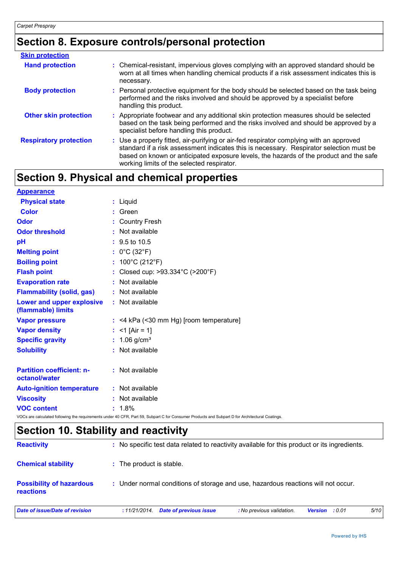## **Section 8. Exposure controls/personal protection**

| <b>Skin protection</b>        |                                                                                                                                                                                                                                                                                                                            |
|-------------------------------|----------------------------------------------------------------------------------------------------------------------------------------------------------------------------------------------------------------------------------------------------------------------------------------------------------------------------|
| <b>Hand protection</b>        | : Chemical-resistant, impervious gloves complying with an approved standard should be<br>worn at all times when handling chemical products if a risk assessment indicates this is<br>necessary.                                                                                                                            |
| <b>Body protection</b>        | : Personal protective equipment for the body should be selected based on the task being<br>performed and the risks involved and should be approved by a specialist before<br>handling this product.                                                                                                                        |
| <b>Other skin protection</b>  | : Appropriate footwear and any additional skin protection measures should be selected<br>based on the task being performed and the risks involved and should be approved by a<br>specialist before handling this product.                                                                                                  |
| <b>Respiratory protection</b> | : Use a properly fitted, air-purifying or air-fed respirator complying with an approved<br>standard if a risk assessment indicates this is necessary. Respirator selection must be<br>based on known or anticipated exposure levels, the hazards of the product and the safe<br>working limits of the selected respirator. |

## **Section 9. Physical and chemical properties**

| <b>Appearance</b>                                 |                                                                                                                                                 |
|---------------------------------------------------|-------------------------------------------------------------------------------------------------------------------------------------------------|
| <b>Physical state</b>                             | : Liquid                                                                                                                                        |
| <b>Color</b>                                      | : Green                                                                                                                                         |
| <b>Odor</b>                                       | <b>Country Fresh</b>                                                                                                                            |
| <b>Odor threshold</b>                             | : Not available                                                                                                                                 |
| pH                                                | $\div$ 9.5 to 10.5                                                                                                                              |
| <b>Melting point</b>                              | : $0^{\circ}$ C (32 $^{\circ}$ F)                                                                                                               |
| <b>Boiling point</b>                              | : $100^{\circ}$ C (212 $^{\circ}$ F)                                                                                                            |
| <b>Flash point</b>                                | : Closed cup: >93.334°C (>200°F)                                                                                                                |
| <b>Evaporation rate</b>                           | : Not available                                                                                                                                 |
| <b>Flammability (solid, gas)</b>                  | : Not available                                                                                                                                 |
| Lower and upper explosive<br>(flammable) limits   | : Not available                                                                                                                                 |
| <b>Vapor pressure</b>                             | $:$ <4 kPa (<30 mm Hg) [room temperature]                                                                                                       |
| <b>Vapor density</b>                              | : $<$ 1 [Air = 1]                                                                                                                               |
| <b>Specific gravity</b>                           | : $1.06$ g/cm <sup>3</sup>                                                                                                                      |
| <b>Solubility</b>                                 | : Not available                                                                                                                                 |
| <b>Partition coefficient: n-</b><br>octanol/water | : Not available                                                                                                                                 |
| <b>Auto-ignition temperature</b>                  | : Not available                                                                                                                                 |
| <b>Viscosity</b>                                  | : Not available                                                                                                                                 |
| <b>VOC content</b>                                | $: 1.8\%$                                                                                                                                       |
|                                                   | VOCs are calculated following the requirements under 40 CFR, Part 59, Subpart C for Consumer Products and Subpart D for Architectural Coatings. |

## **Section 10. Stability and reactivity**

| <b>Reactivity</b>                                   |                                                                                   | : No specific test data related to reactivity available for this product or its ingredients. |  |  |  |
|-----------------------------------------------------|-----------------------------------------------------------------------------------|----------------------------------------------------------------------------------------------|--|--|--|
| <b>Chemical stability</b>                           | : The product is stable.                                                          |                                                                                              |  |  |  |
| <b>Possibility of hazardous</b><br><b>reactions</b> | : Under normal conditions of storage and use, hazardous reactions will not occur. |                                                                                              |  |  |  |
| Date of issue/Date of revision                      | <b>Date of previous issue</b><br>: No previous validation.<br>:11/21/2014.        | 5/10<br><b>Version</b> : 0.01                                                                |  |  |  |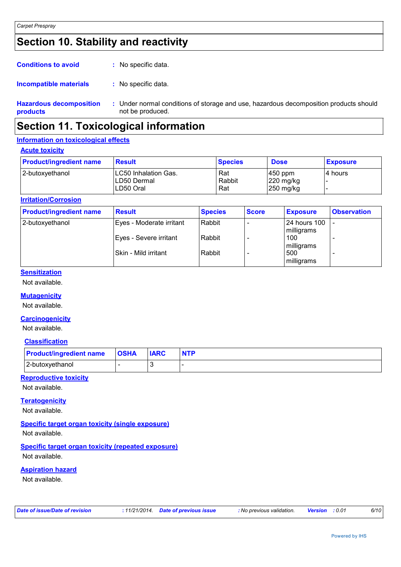## **Section 10. Stability and reactivity**

| <b>Conditions to avoid</b> |  | : No specific data. |  |
|----------------------------|--|---------------------|--|
|----------------------------|--|---------------------|--|

#### : No specific data. **Incompatible materials :**

**Hazardous decomposition products** Under normal conditions of storage and use, hazardous decomposition products should **:** not be produced.

### **Section 11. Toxicological information**

#### **Information on toxicological effects**

**Acute toxicity**

| <b>Product/ingredient name</b> | <b>Result</b>                                       | <b>Species</b>       | <b>Dose</b>                             | <b>Exposure</b> |
|--------------------------------|-----------------------------------------------------|----------------------|-----------------------------------------|-----------------|
| 2-butoxyethanol                | ILC50 Inhalation Gas.<br>ILD50 Dermal<br>ILD50 Oral | Rat<br>Rabbit<br>Rat | $450$ ppm<br>$220$ mg/kg<br>$250$ mg/kg | I4 hours        |

#### **Irritation/Corrosion**

| <b>Product/ingredient name</b> | <b>Result</b>            | <b>Species</b> | <b>Score</b> | <b>Exposure</b>            | <b>Observation</b>       |
|--------------------------------|--------------------------|----------------|--------------|----------------------------|--------------------------|
| 2-butoxyethanol                | Eyes - Moderate irritant | Rabbit         |              | 24 hours 100<br>milligrams | $\overline{\phantom{0}}$ |
|                                | Eyes - Severe irritant   | Rabbit         |              | 100<br>milligrams          |                          |
|                                | ISkin - Mild irritant    | Rabbit         |              | 500<br>milligrams          | $\overline{\phantom{0}}$ |

#### **Sensitization**

Not available.

#### **Mutagenicity**

Not available.

#### **Carcinogenicity**

Not available.

#### **Classification**

| <b>Product/ingredient name</b> | <b>OSHA</b> | <b>IARC</b> | <b>NTP</b> |
|--------------------------------|-------------|-------------|------------|
| 2-butoxyethanol                |             |             |            |

#### **Reproductive toxicity**

Not available.

#### **Teratogenicity**

Not available.

#### **Specific target organ toxicity (single exposure)**

Not available.

#### **Specific target organ toxicity (repeated exposure)**

Not available.

#### **Aspiration hazard**

Not available.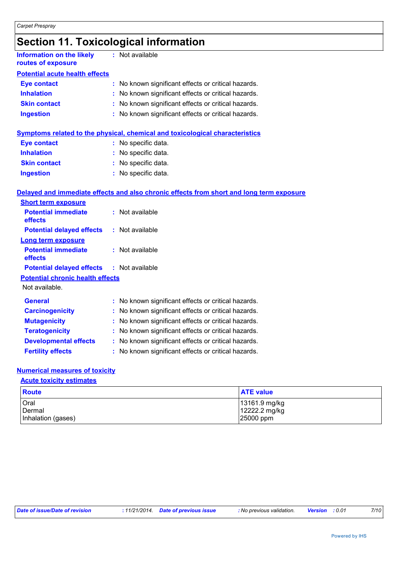## **Section 11. Toxicological information**

| <b>Information on the likely</b><br>routes of exposure    | : Not available                                                                          |
|-----------------------------------------------------------|------------------------------------------------------------------------------------------|
| <b>Potential acute health effects</b>                     |                                                                                          |
| <b>Eye contact</b>                                        | : No known significant effects or critical hazards.                                      |
| <b>Inhalation</b>                                         | : No known significant effects or critical hazards.                                      |
| <b>Skin contact</b>                                       | : No known significant effects or critical hazards.                                      |
| <b>Ingestion</b>                                          | : No known significant effects or critical hazards.                                      |
|                                                           | Symptoms related to the physical, chemical and toxicological characteristics             |
| <b>Eye contact</b>                                        | : No specific data.                                                                      |
| <b>Inhalation</b>                                         | : No specific data.                                                                      |
| <b>Skin contact</b>                                       | : No specific data.                                                                      |
| <b>Ingestion</b>                                          | : No specific data.                                                                      |
| <b>Short term exposure</b>                                | Delayed and immediate effects and also chronic effects from short and long term exposure |
| <b>Potential immediate</b><br>effects                     | : Not available                                                                          |
| <b>Potential delayed effects</b>                          | : Not available                                                                          |
| <b>Long term exposure</b>                                 |                                                                                          |
| <b>Potential immediate</b><br>effects                     | : Not available                                                                          |
| <b>Potential delayed effects</b>                          | : Not available                                                                          |
| <b>Potential chronic health effects</b><br>Not available. |                                                                                          |
| <b>General</b>                                            | : No known significant effects or critical hazards.                                      |
| <b>Carcinogenicity</b>                                    | : No known significant effects or critical hazards.                                      |
| <b>Mutagenicity</b>                                       | : No known significant effects or critical hazards.                                      |
| <b>Teratogenicity</b>                                     | : No known significant effects or critical hazards.                                      |
| <b>Developmental effects</b>                              | : No known significant effects or critical hazards.                                      |
| <b>Fertility effects</b>                                  | : No known significant effects or critical hazards.                                      |

#### **Numerical measures of toxicity**

#### **Acute toxicity estimates**

| <b>Route</b>       | <b>ATE value</b> |
|--------------------|------------------|
| Oral               | $13161.9$ mg/kg  |
| Dermal             | 12222.2 mg/kg    |
| Inhalation (gases) | 25000 ppm        |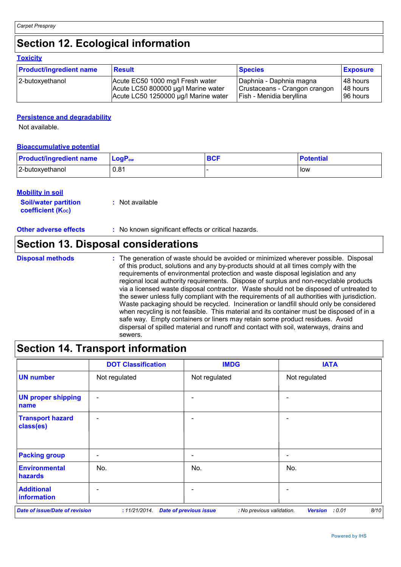## **Section 12. Ecological information**

#### **Toxicity**

| <b>Product/ingredient name</b> | <b>Result</b>                        | <b>Species</b>                | <b>Exposure</b> |
|--------------------------------|--------------------------------------|-------------------------------|-----------------|
| 2-butoxyethanol                | Acute EC50 1000 mg/l Fresh water     | Daphnia - Daphnia magna       | 48 hours        |
|                                | Acute LC50 800000 µg/l Marine water  | Crustaceans - Crangon crangon | 48 hours        |
|                                | Acute LC50 1250000 µg/l Marine water | Fish - Menidia beryllina      | 96 hours        |

#### **Persistence and degradability**

Not available.

#### **Bioaccumulative potential**

| <b>Product/ingredient name</b> | $\mathsf{LogP}_\mathsf{ow}$ | Potential |
|--------------------------------|-----------------------------|-----------|
| 2-butoxyethanol                | 0.81                        | low       |

#### **Mobility in soil**

| <i></i>                     |                 |
|-----------------------------|-----------------|
| <b>Soil/water partition</b> | : Not available |
| <b>coefficient (Koc)</b>    |                 |

**Other adverse effects** : No known significant effects or critical hazards.

### **Section 13. Disposal considerations**

The generation of waste should be avoided or minimized wherever possible. Disposal of this product, solutions and any by-products should at all times comply with the requirements of environmental protection and waste disposal legislation and any regional local authority requirements. Dispose of surplus and non-recyclable products via a licensed waste disposal contractor. Waste should not be disposed of untreated to the sewer unless fully compliant with the requirements of all authorities with jurisdiction. Waste packaging should be recycled. Incineration or landfill should only be considered when recycling is not feasible. This material and its container must be disposed of in a safe way. Empty containers or liners may retain some product residues. Avoid dispersal of spilled material and runoff and contact with soil, waterways, drains and sewers. **Disposal methods :**

### **Section 14. Transport information**

|                                        | <b>DOT Classification</b> | <b>IMDG</b>                                                | <b>IATA</b>                      |
|----------------------------------------|---------------------------|------------------------------------------------------------|----------------------------------|
| <b>UN number</b>                       | Not regulated             | Not regulated                                              | Not regulated                    |
| <b>UN proper shipping</b><br>name      |                           |                                                            |                                  |
| <b>Transport hazard</b><br>class(es)   | $\overline{\phantom{0}}$  | -                                                          | $\blacksquare$                   |
| <b>Packing group</b>                   |                           |                                                            | $\overline{\phantom{0}}$         |
| <b>Environmental</b><br><b>hazards</b> | No.                       | No.                                                        | No.                              |
| <b>Additional</b><br>information       |                           |                                                            |                                  |
| <b>Date of issue/Date of revision</b>  | : 11/21/2014.             | <b>Date of previous issue</b><br>: No previous validation. | 8/10<br>: 0.01<br><b>Version</b> |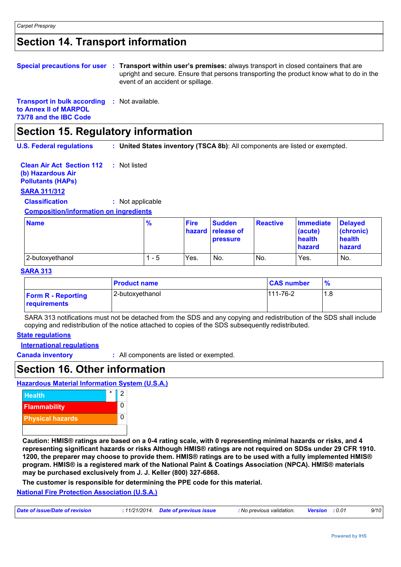### **Section 14. Transport information**

|                                 | Special precautions for user : Transport within user's premises: always transport in closed containers that are<br>upright and secure. Ensure that persons transporting the product know what to do in the<br>event of an accident or spillage. |  |
|---------------------------------|-------------------------------------------------------------------------------------------------------------------------------------------------------------------------------------------------------------------------------------------------|--|
| Transport in bulk according the | Not ovojlohlo                                                                                                                                                                                                                                   |  |

**Transport in bulk according to Annex II of MARPOL 73/78 and the IBC Code :** Not available.

### **Section 15. Regulatory information**

**U.S. Federal regulations : United States inventory (TSCA 8b)**: All components are listed or exempted.

**Clean Air Act Section 112 (b) Hazardous Air Pollutants (HAPs) :** Not listed

#### **SARA 311/312**

**Classification :** Not applicable

#### **Composition/information on ingredients**

| <b>Name</b>     | $\frac{9}{6}$ | <b>Fire</b> | <b>Sudden</b><br>hazard release of<br><b>pressure</b> | <b>Reactive</b> | <b>Immediate</b><br>(acute)<br>health<br>hazard | <b>Delayed</b><br>(chronic)<br>health<br>hazard |
|-----------------|---------------|-------------|-------------------------------------------------------|-----------------|-------------------------------------------------|-------------------------------------------------|
| 2-butoxyethanol | - 5           | Yes.        | No.                                                   | No.             | Yes.                                            | No.                                             |

#### **SARA 313**

|                                           | <b>Product name</b> | <b>CAS number</b> | $\frac{9}{6}$ |
|-------------------------------------------|---------------------|-------------------|---------------|
| <b>Form R - Reporting</b><br>requirements | 2-butoxyethanol     | 111-76-2          | 1.8           |

SARA 313 notifications must not be detached from the SDS and any copying and redistribution of the SDS shall include copying and redistribution of the notice attached to copies of the SDS subsequently redistributed.

#### **State regulations**

**International regulations**

**Canada inventory :** All components are listed or exempted.

### **Section 16. Other information**

**Hazardous Material Information System (U.S.A.)**



**Caution: HMIS® ratings are based on a 0-4 rating scale, with 0 representing minimal hazards or risks, and 4 representing significant hazards or risks Although HMIS® ratings are not required on SDSs under 29 CFR 1910. 1200, the preparer may choose to provide them. HMIS® ratings are to be used with a fully implemented HMIS® program. HMIS® is a registered mark of the National Paint & Coatings Association (NPCA). HMIS® materials may be purchased exclusively from J. J. Keller (800) 327-6868.**

**The customer is responsible for determining the PPE code for this material.**

#### **National Fire Protection Association (U.S.A.)**

| Date of issue/Date of revision<br>: 11/21/2014 Date of previous issue<br>No previous validation. <b>Version</b> : 0.01 | 9/10 |
|------------------------------------------------------------------------------------------------------------------------|------|
|------------------------------------------------------------------------------------------------------------------------|------|